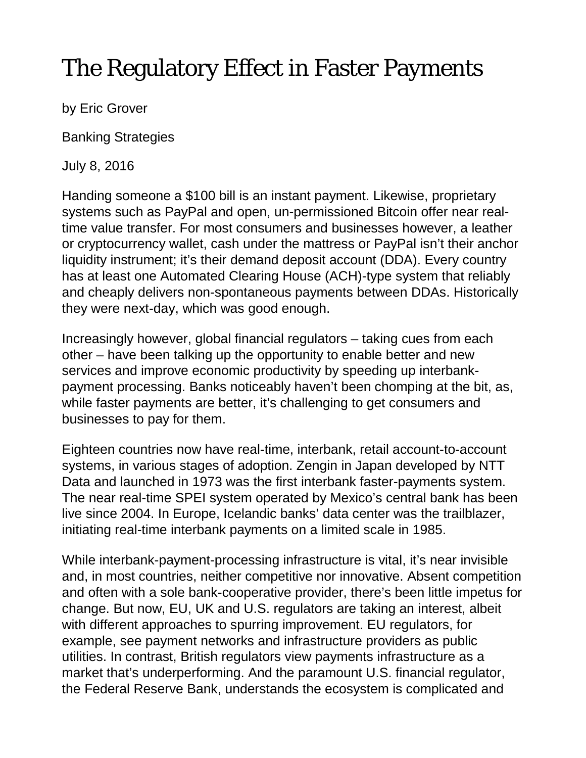## The Regulatory Effect in Faster Payments

by Eric Grover

Banking Strategies

July 8, 2016

Handing someone a \$100 bill is an instant payment. Likewise, proprietary systems such as PayPal and open, un-permissioned Bitcoin offer near realtime value transfer. For most consumers and businesses however, a leather or cryptocurrency wallet, cash under the mattress or PayPal isn't their anchor liquidity instrument; it's their demand deposit account (DDA). Every country has at least one Automated Clearing House (ACH)-type system that reliably and cheaply delivers non-spontaneous payments between DDAs. Historically they were next-day, which was good enough.

Increasingly however, global financial regulators – taking cues from each other – have been talking up the opportunity to enable better and new services and improve economic productivity by speeding up interbankpayment processing. Banks noticeably haven't been chomping at the bit, as, while faster payments are better, it's challenging to get consumers and businesses to pay for them.

Eighteen countries now have real-time, interbank, retail account-to-account systems, in various stages of adoption. Zengin in Japan developed by NTT Data and launched in 1973 was the first interbank faster-payments system. The near real-time SPEI system operated by Mexico's central bank has been live since 2004. In Europe, Icelandic banks' data center was the trailblazer, initiating real-time interbank payments on a limited scale in 1985.

While interbank-payment-processing infrastructure is vital, it's near invisible and, in most countries, neither competitive nor innovative. Absent competition and often with a sole bank-cooperative provider, there's been little impetus for change. But now, EU, UK and U.S. regulators are taking an interest, albeit with different approaches to spurring improvement. EU regulators, for example, see payment networks and infrastructure providers as public utilities. In contrast, British regulators view payments infrastructure as a market that's underperforming. And the paramount U.S. financial regulator, the Federal Reserve Bank, understands the ecosystem is complicated and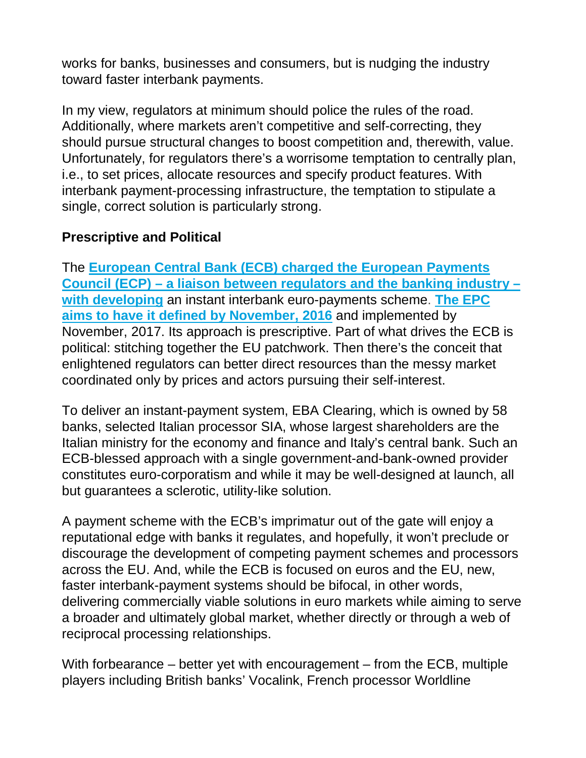works for banks, businesses and consumers, but is nudging the industry toward faster interbank payments.

In my view, regulators at minimum should police the rules of the road. Additionally, where markets aren't competitive and self-correcting, they should pursue structural changes to boost competition and, therewith, value. Unfortunately, for regulators there's a worrisome temptation to centrally plan, i.e., to set prices, allocate resources and specify product features. With interbank payment-processing infrastructure, the temptation to stipulate a single, correct solution is particularly strong.

## **Prescriptive and Political**

The **[European Central Bank \(ECB\) charged the European Payments](https://www.ecb.europa.eu/press/pr/date/2015/html/pr151127.en.html)  Council (ECP) – [a liaison between regulators and the banking industry –](https://www.ecb.europa.eu/press/pr/date/2015/html/pr151127.en.html) [with developing](https://www.ecb.europa.eu/press/pr/date/2015/html/pr151127.en.html)** an instant interbank euro-payments scheme. **[The EPC](http://www.europeanpaymentscouncil.eu/index.cfm/knowledge-bank/epc-documents/epc-press-release-the-epc-launches-public-consultation-for-first-pan-european-scheme-providing-customers-with-instant-payments/epc082-16sct-inst-press-release12-04-2016/)  [aims to have it defined by November, 2016](http://www.europeanpaymentscouncil.eu/index.cfm/knowledge-bank/epc-documents/epc-press-release-the-epc-launches-public-consultation-for-first-pan-european-scheme-providing-customers-with-instant-payments/epc082-16sct-inst-press-release12-04-2016/)** and implemented by November, 2017. Its approach is prescriptive. Part of what drives the ECB is political: stitching together the EU patchwork. Then there's the conceit that enlightened regulators can better direct resources than the messy market coordinated only by prices and actors pursuing their self-interest.

To deliver an instant-payment system, EBA Clearing, which is owned by 58 banks, selected Italian processor SIA, whose largest shareholders are the Italian ministry for the economy and finance and Italy's central bank. Such an ECB-blessed approach with a single government-and-bank-owned provider constitutes euro-corporatism and while it may be well-designed at launch, all but guarantees a sclerotic, utility-like solution.

A payment scheme with the ECB's imprimatur out of the gate will enjoy a reputational edge with banks it regulates, and hopefully, it won't preclude or discourage the development of competing payment schemes and processors across the EU. And, while the ECB is focused on euros and the EU, new, faster interbank-payment systems should be bifocal, in other words, delivering commercially viable solutions in euro markets while aiming to serve a broader and ultimately global market, whether directly or through a web of reciprocal processing relationships.

With forbearance – better yet with encouragement – from the ECB, multiple players including British banks' Vocalink, French processor Worldline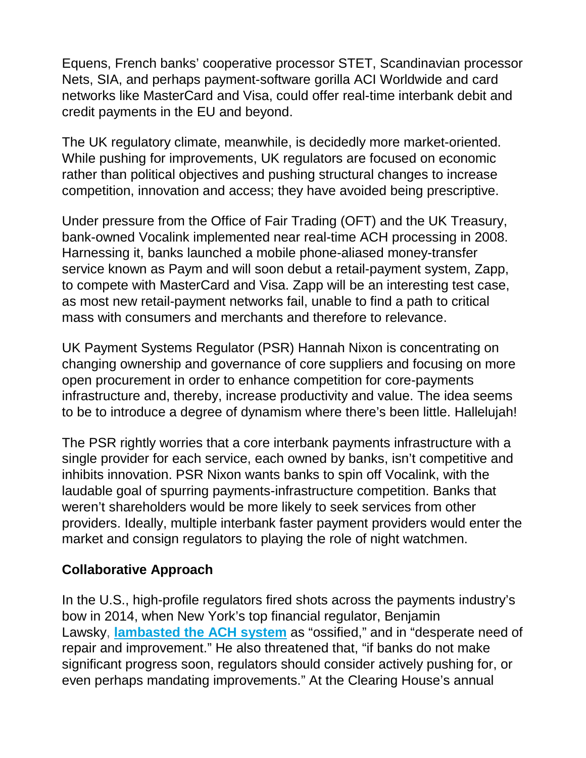Equens, French banks' cooperative processor STET, Scandinavian processor Nets, SIA, and perhaps payment-software gorilla ACI Worldwide and card networks like MasterCard and Visa, could offer real-time interbank debit and credit payments in the EU and beyond.

The UK regulatory climate, meanwhile, is decidedly more market-oriented. While pushing for improvements, UK regulators are focused on economic rather than political objectives and pushing structural changes to increase competition, innovation and access; they have avoided being prescriptive.

Under pressure from the Office of Fair Trading (OFT) and the UK Treasury, bank-owned Vocalink implemented near real-time ACH processing in 2008. Harnessing it, banks launched a mobile phone-aliased money-transfer service known as Paym and will soon debut a retail-payment system, Zapp, to compete with MasterCard and Visa. Zapp will be an interesting test case, as most new retail-payment networks fail, unable to find a path to critical mass with consumers and merchants and therefore to relevance.

UK Payment Systems Regulator (PSR) Hannah Nixon is concentrating on changing ownership and governance of core suppliers and focusing on more open procurement in order to enhance competition for core-payments infrastructure and, thereby, increase productivity and value. The idea seems to be to introduce a degree of dynamism where there's been little. Hallelujah!

The PSR rightly worries that a core interbank payments infrastructure with a single provider for each service, each owned by banks, isn't competitive and inhibits innovation. PSR Nixon wants banks to spin off Vocalink, with the laudable goal of spurring payments-infrastructure competition. Banks that weren't shareholders would be more likely to seek services from other providers. Ideally, multiple interbank faster payment providers would enter the market and consign regulators to playing the role of night watchmen.

## **Collaborative Approach**

In the U.S., high-profile regulators fired shots across the payments industry's bow in 2014, when New York's top financial regulator, Benjamin Lawsky, **[lambasted the ACH system](http://www.americanbanker.com/news/law-regulation/lawsky-to-banks-speed-up-payments-innovation-or-else-1071753-1.html)** as "ossified," and in "desperate need of repair and improvement." He also threatened that, "if banks do not make significant progress soon, regulators should consider actively pushing for, or even perhaps mandating improvements." At the Clearing House's annual